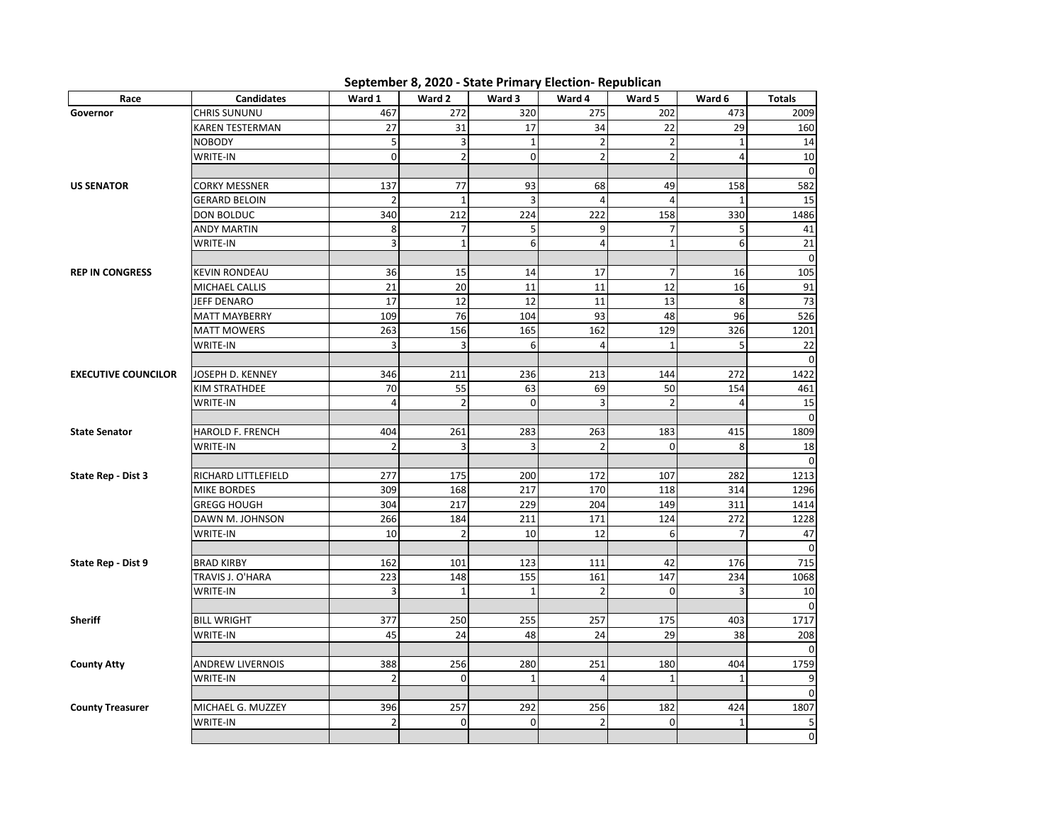| Race                       | <b>Candidates</b>       | Ward 1         | Ward 2         | Ward 3         | Ward 4         | Ward 5          | Ward 6         | <b>Totals</b>       |
|----------------------------|-------------------------|----------------|----------------|----------------|----------------|-----------------|----------------|---------------------|
| Governor                   | CHRIS SUNUNU            | 467            | 272            | 320            | 275            | 202             | 473            | 2009                |
|                            | KAREN TESTERMAN         | 27             | 31             | 17             | 34             | 22              | 29             | 160                 |
|                            | <b>NOBODY</b>           | 5              | 3              | $\mathbf{1}$   | $\overline{2}$ | $\overline{2}$  | $\mathbf{1}$   | 14                  |
|                            | WRITE-IN                | 0              | $\overline{2}$ | $\mathbf 0$    | $\overline{2}$ | $\overline{2}$  | $\overline{4}$ | 10                  |
|                            |                         |                |                |                |                |                 |                | $\mathbf 0$         |
| <b>US SENATOR</b>          | CORKY MESSNER           | 137            | 77             | 93             | 68             | 49              | 158            | 582                 |
|                            | <b>GERARD BELOIN</b>    | $\overline{2}$ | $\mathbf 1$    | 3              | $\overline{4}$ | $\overline{4}$  | $\mathbf{1}$   | 15                  |
|                            | DON BOLDUC              | 340            | 212            | 224            | 222            | 158             | 330            | 1486                |
|                            | <b>ANDY MARTIN</b>      | 8              | $\overline{7}$ | 5 <sup>1</sup> | 9              | $\overline{7}$  | 5              | 41                  |
|                            | WRITE-IN                | 3              | $\mathbf 1$    | 6              | $\overline{4}$ | $\mathbf 1$     | 6              | 21                  |
|                            |                         |                |                |                |                |                 |                | $\mathbf 0$         |
| <b>REP IN CONGRESS</b>     | <b>KEVIN RONDEAU</b>    | 36             | 15             | 14             | 17             | $\overline{7}$  | 16             | 105                 |
|                            | MICHAEL CALLIS          | 21             | 20             | 11             | 11             | $\overline{12}$ | 16             | 91                  |
|                            | JEFF DENARO             | 17             | 12             | 12             | 11             | 13              | 8              | 73                  |
|                            | <b>MATT MAYBERRY</b>    | 109            | 76             | 104            | 93             | 48              | 96             | 526                 |
|                            | <b>MATT MOWERS</b>      | 263            | 156            | 165            | 162            | 129             | 326            | 1201                |
|                            | WRITE-IN                | 3              | 3              | 6              | $\overline{4}$ | $\mathbf{1}$    | 5              | 22                  |
|                            |                         |                |                |                |                |                 |                | $\mathbf{0}$        |
| <b>EXECUTIVE COUNCILOR</b> | JOSEPH D. KENNEY        | 346            | 211            | 236            | 213            | 144             | 272            | 1422                |
|                            | KIM STRATHDEE           | 70             | 55             | 63             | 69             | 50              | 154            | 461                 |
|                            | WRITE-IN                | 4              | $\overline{2}$ | $\mathbf 0$    | $\overline{3}$ | $\overline{2}$  | 4              | 15                  |
|                            |                         |                |                |                |                |                 |                | $\mathbf 0$         |
| <b>State Senator</b>       | HAROLD F. FRENCH        | 404            | 261            | 283            | 263            | 183             | 415            | 1809                |
|                            | WRITE-IN                | $\overline{2}$ | 3              | $\overline{3}$ | $\overline{2}$ | 0               | 8              | 18                  |
|                            |                         |                |                |                |                |                 |                | $\mathbf 0$         |
| State Rep - Dist 3         | RICHARD LITTLEFIELD     | 277            | 175            | 200            | 172            | 107             | 282            | 1213                |
|                            | <b>MIKE BORDES</b>      | 309            | 168            | 217            | 170            | 118             | 314            | 1296                |
|                            | <b>GREGG HOUGH</b>      | 304            | 217            | 229            | 204            | 149             | 311            | 1414                |
|                            | DAWN M. JOHNSON         | 266            | 184            | 211            | 171            | 124             | 272            | 1228                |
|                            | WRITE-IN                | 10             | $\overline{2}$ | 10             | 12             | 6               | $\overline{7}$ | 47                  |
|                            |                         |                |                |                |                |                 |                | $\mathbf 0$         |
| State Rep - Dist 9         | <b>BRAD KIRBY</b>       | 162            | 101            | 123            | 111            | 42              | 176            | 715                 |
|                            | TRAVIS J. O'HARA        | 223            | 148            | 155            | 161            | 147             | 234            | 1068                |
|                            | WRITE-IN                | 3              | $\mathbf{1}$   | $\mathbf{1}$   | $\overline{2}$ | $\mathbf 0$     | 3              | 10                  |
|                            |                         |                |                |                |                |                 |                | $\mathbf{0}$        |
| <b>Sheriff</b>             | <b>BILL WRIGHT</b>      | 377            | 250            | 255            | 257            | 175             | 403            | 1717                |
|                            | WRITE-IN                | 45             | 24             | 48             | 24             | 29              | 38             | 208                 |
|                            |                         |                |                |                |                |                 |                | $\Omega$            |
| <b>County Atty</b>         | <b>ANDREW LIVERNOIS</b> | 388            | 256            | 280            | 251            | 180             | 404            | 1759                |
|                            | WRITE-IN                | $\overline{2}$ | $\mathbf 0$    | $\mathbf{1}$   | $\overline{a}$ | $\mathbf{1}$    | $\mathbf{1}$   | 9                   |
|                            |                         |                |                |                |                |                 |                | $\mathbf 0$         |
| <b>County Treasurer</b>    | MICHAEL G. MUZZEY       | 396            | 257            | 292            | 256            | 182             | 424            | 1807                |
|                            | WRITE-IN                | $\overline{2}$ | $\mathbf 0$    | 0              | $\overline{2}$ | $\pmb{0}$       | $\mathbf{1}$   | 5                   |
|                            |                         |                |                |                |                |                 |                | $\mathsf{O}\xspace$ |

## **September 8, 2020 - State Primary Election- Republican**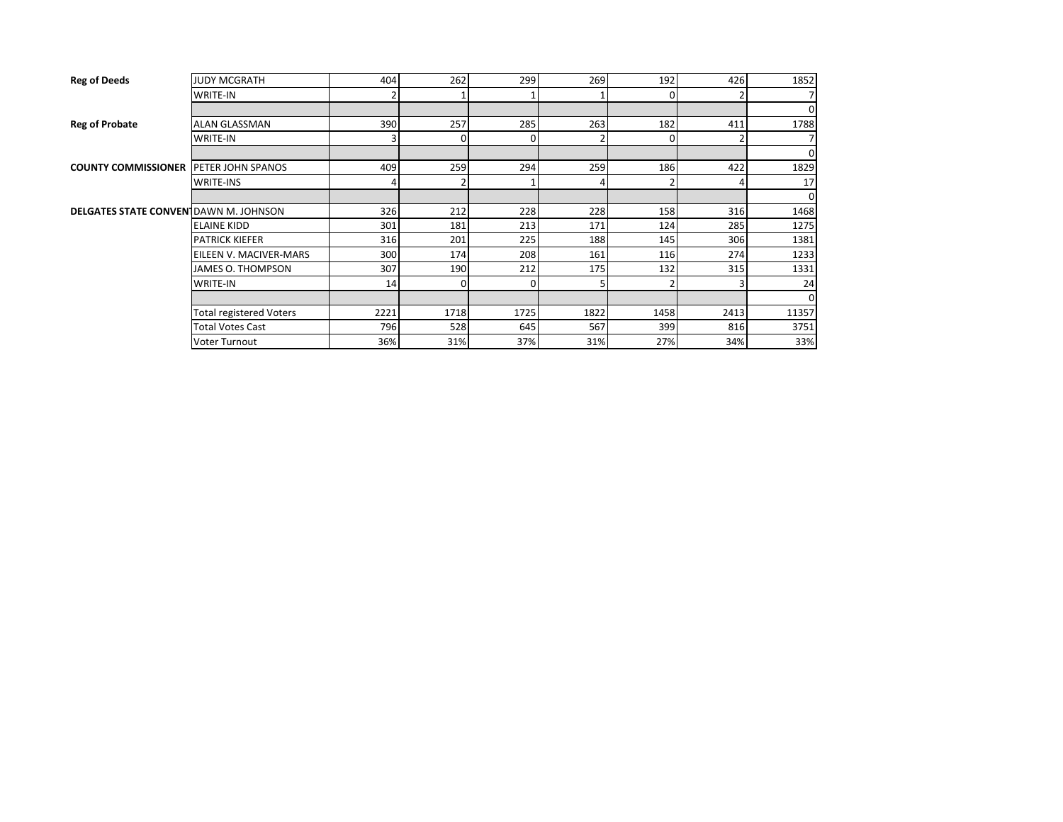| <b>Reg of Deeds</b>                           | <b>JUDY MCGRATH</b>            | 404  | 262  | 299  | 269  | 192  | 426  | 1852  |
|-----------------------------------------------|--------------------------------|------|------|------|------|------|------|-------|
|                                               | <b>WRITE-IN</b>                |      |      |      |      |      |      |       |
|                                               |                                |      |      |      |      |      |      | 0     |
| <b>Reg of Probate</b>                         | <b>ALAN GLASSMAN</b>           | 390  | 257  | 285  | 263  | 182  | 411  | 1788  |
|                                               | <b>WRITE-IN</b>                | 3    | 0    | 0    |      | 0    |      |       |
|                                               |                                |      |      |      |      |      |      | 0     |
| <b>COUNTY COMMISSIONER IPETER JOHN SPANOS</b> |                                | 409  | 259  | 294  | 259  | 186  | 422  | 1829  |
|                                               | <b>WRITE-INS</b>               | 4    |      |      | 4    |      |      | 17    |
|                                               |                                |      |      |      |      |      |      | 0     |
| <b>DELGATES STATE CONVENT</b> DAWN M. JOHNSON |                                | 326  | 212  | 228  | 228  | 158  | 316  | 1468  |
|                                               | <b>ELAINE KIDD</b>             | 301  | 181  | 213  | 171  | 124  | 285  | 1275  |
|                                               | <b>PATRICK KIEFER</b>          | 316  | 201  | 225  | 188  | 145  | 306  | 1381  |
|                                               | EILEEN V. MACIVER-MARS         | 300  | 174  | 208  | 161  | 116  | 274  | 1233  |
|                                               | JAMES O. THOMPSON              | 307  | 190  | 212  | 175  | 132  | 315  | 1331  |
|                                               | <b>WRITE-IN</b>                | 14   | 0    | 0    | 5    |      |      | 24    |
|                                               |                                |      |      |      |      |      |      | 0     |
|                                               | <b>Total registered Voters</b> | 2221 | 1718 | 1725 | 1822 | 1458 | 2413 | 11357 |
|                                               | <b>Total Votes Cast</b>        | 796  | 528  | 645  | 567  | 399  | 816  | 3751  |
|                                               | <b>Voter Turnout</b>           | 36%  | 31%  | 37%  | 31%  | 27%  | 34%  | 33%   |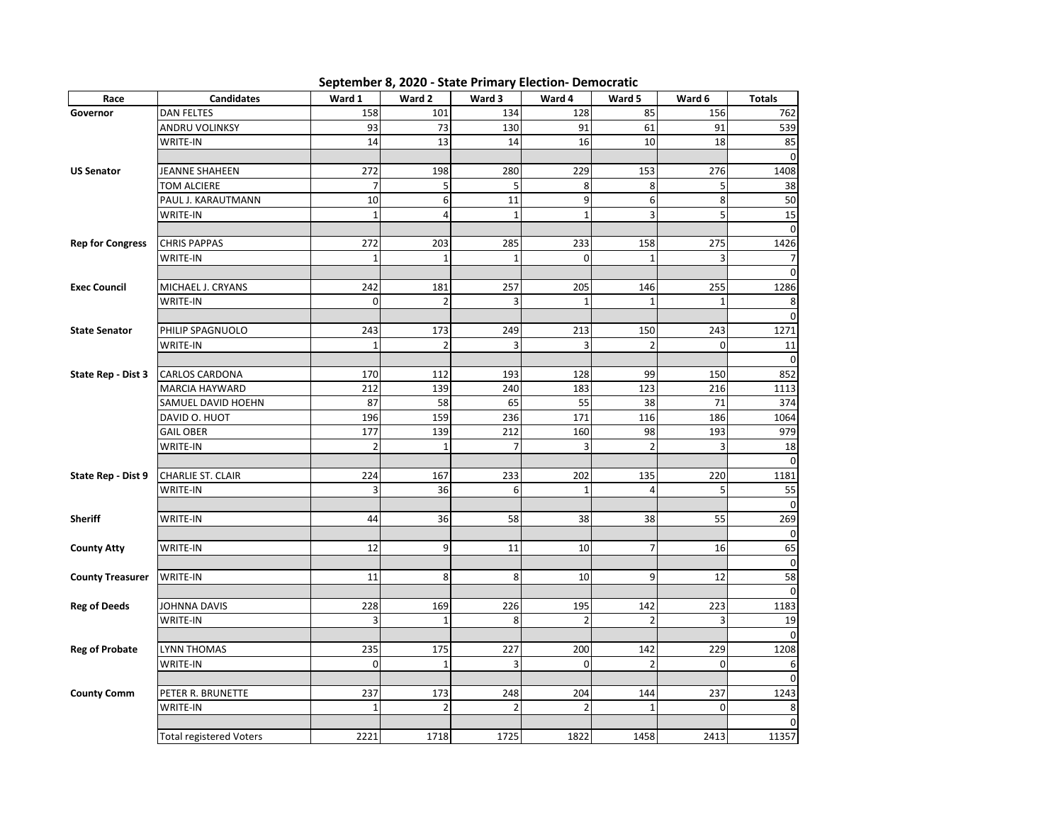**September 8, 2020 - State Primary Election- Democratic**

| Race                    | <b>Candidates</b>              | Ward 1         | Ward 2         | Ward 3         | Ward 4         | Ward 5                   | Ward 6       | <b>Totals</b>       |
|-------------------------|--------------------------------|----------------|----------------|----------------|----------------|--------------------------|--------------|---------------------|
| Governor                | <b>DAN FELTES</b>              | 158            | 101            | 134            | 128            | 85                       | 156          | 762                 |
|                         | ANDRU VOLINKSY                 | 93             | 73             | 130            | 91             | 61                       | 91           | 539                 |
|                         | WRITE-IN                       | 14             | 13             | 14             | 16             | 10                       | 18           | 85                  |
|                         |                                |                |                |                |                |                          |              | $\mathbf 0$         |
| <b>US Senator</b>       | JEANNE SHAHEEN                 | 272            | 198            | 280            | 229            | 153                      | 276          | 1408                |
|                         | TOM ALCIERE                    | $\overline{7}$ | 5              | 5              | 8              | 8                        | 5            | 38                  |
|                         | PAUL J. KARAUTMANN             | 10             | 6              | 11             | 9              | 6                        | 8            | 50                  |
|                         | WRITE-IN                       | $\mathbf 1$    | $\overline{4}$ | $\mathbf{1}$   | $\mathbf{1}$   | 3                        | 5            | 15                  |
|                         |                                |                |                |                |                |                          |              | $\Omega$            |
| <b>Rep for Congress</b> | <b>CHRIS PAPPAS</b>            | 272            | 203            | 285            | 233            | 158                      | 275          | 1426                |
|                         | WRITE-IN                       | $\mathbf{1}$   | $\mathbf{1}$   | $\mathbf{1}$   | 0              | $\mathbf{1}$             | 3            | 7                   |
|                         |                                |                |                |                |                |                          |              | $\Omega$            |
| <b>Exec Council</b>     | MICHAEL J. CRYANS              | 242            | 181            | 257            | 205            | 146                      | 255          | 1286                |
|                         | WRITE-IN                       | $\mathbf 0$    | $\overline{2}$ | 3              | $\mathbf{1}$   | $\mathbf{1}$             | $\mathbf{1}$ | 8                   |
|                         |                                |                |                |                |                |                          |              | $\Omega$            |
| <b>State Senator</b>    | PHILIP SPAGNUOLO               | 243            | 173            | 249            | 213            | 150                      | 243          | 1271                |
|                         | WRITE-IN                       | $\mathbf{1}$   | $\overline{a}$ | 3              | 3              | $\overline{\phantom{a}}$ | 0            | 11                  |
|                         |                                |                |                |                |                |                          |              | 0                   |
| State Rep - Dist 3      | CARLOS CARDONA                 | 170            | 112            | 193            | 128            | 99                       | 150          | 852                 |
|                         | <b>MARCIA HAYWARD</b>          | 212            | 139            | 240            | 183            | 123                      | 216          | 1113                |
|                         | SAMUEL DAVID HOEHN             | 87             | 58             | 65             | 55             | 38                       | 71           | 374                 |
|                         | DAVID O. HUOT                  | 196            | 159            | 236            | 171            | 116                      | 186          | 1064                |
|                         | <b>GAIL OBER</b>               | 177            | 139            | 212            | 160            | 98                       | 193          | 979                 |
|                         | WRITE-IN                       | $\overline{2}$ | $\mathbf 1$    | $\overline{7}$ | $\overline{3}$ | $\overline{2}$           | 3            | 18                  |
|                         |                                |                |                |                |                |                          |              | $\mathbf 0$         |
| State Rep - Dist 9      | <b>CHARLIE ST. CLAIR</b>       | 224            | 167            | 233            | 202            | 135                      | 220          | 1181                |
|                         | WRITE-IN                       | 3              | 36             | 6              | $\mathbf{1}$   | $\overline{\mathbf{4}}$  | 5            | 55                  |
|                         |                                |                |                |                |                |                          |              | $\mathbf 0$         |
| <b>Sheriff</b>          | WRITE-IN                       | 44             | 36             | 58             | 38             | 38                       | 55           | 269                 |
|                         |                                |                |                |                |                |                          |              | 0                   |
| <b>County Atty</b>      | WRITE-IN                       | 12             | 9              | 11             | 10             | $\overline{7}$           | 16           | 65                  |
|                         |                                |                |                |                |                |                          |              | $\mathsf{O}\xspace$ |
| <b>County Treasurer</b> | WRITE-IN                       | 11             | 8              | 8              | 10             | 9                        | 12           | 58                  |
|                         |                                |                |                |                |                |                          |              | $\mathbf 0$         |
| <b>Reg of Deeds</b>     | JOHNNA DAVIS                   | 228            | 169            | 226            | 195            | 142                      | 223          | 1183                |
|                         | WRITE-IN                       | 3              | $\mathbf{1}$   | 8              | 2              | $\overline{2}$           | 3            | 19                  |
|                         |                                |                |                |                |                |                          |              | $\Omega$            |
| <b>Reg of Probate</b>   | LYNN THOMAS                    | 235            | 175            | 227            | 200            | 142                      | 229          | 1208                |
|                         | <b>WRITE-IN</b>                | $\mathbf 0$    | $\mathbf{1}$   | 3              | $\Omega$       | $\overline{2}$           | 0            | 6                   |
|                         |                                |                |                |                |                |                          |              | 0                   |
| <b>County Comm</b>      | PETER R. BRUNETTE              | 237            | 173            | 248            | 204            | 144                      | 237          | 1243                |
|                         | <b>WRITE-IN</b>                | $\mathbf{1}$   | $\overline{2}$ | $\mathfrak{p}$ | $\overline{2}$ | $\mathbf{1}$             | $\Omega$     | 8                   |
|                         |                                |                |                |                |                |                          |              | 0                   |
|                         | <b>Total registered Voters</b> | 2221           | 1718           | 1725           | 1822           | 1458                     | 2413         | 11357               |